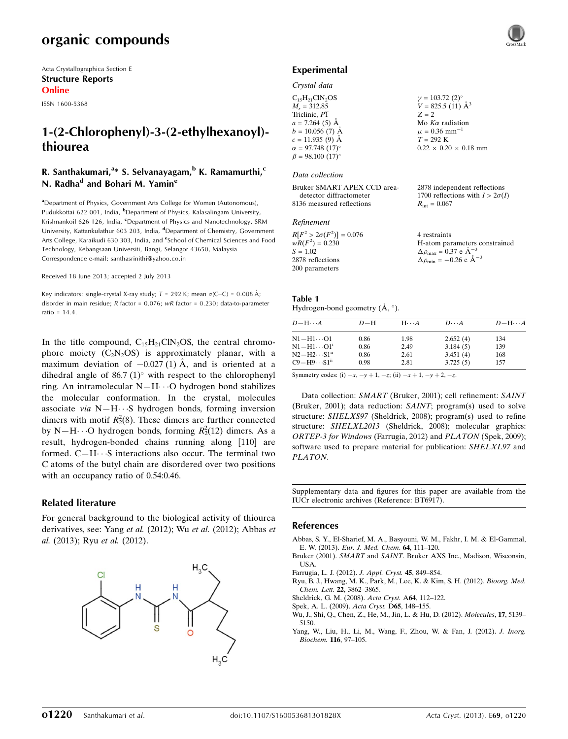Acta Crystallographica Section E Structure Reports Online

ISSN 1600-5368

# 1-(2-Chlorophenyl)-3-(2-ethylhexanoyl) thiourea

#### R. Santhakumari,<sup>a</sup>\* S. Selvanayagam,<sup>b</sup> K. Ramamurthi,<sup>c</sup> N. Radha<sup>d</sup> and Bohari M. Yamin<sup>e</sup>

<sup>a</sup>Department of Physics, Government Arts College for Women (Autonomous), Pudukkottai 622 001, India, <sup>b</sup>Department of Physics, Kalasalingam University, Krishnankoil 626 126, India, <sup>c</sup>Department of Physics and Nanotechnology, SRM University, Kattankulathur 603 203, India, <sup>d</sup>Department of Chemistry, Government Arts College, Karaikudi 630 303, India, and <sup>e</sup>School of Chemical Sciences and Food Technology, Kebangsaan Universiti, Bangi, Selangor 43650, Malaysia Correspondence e-mail: [santhasrinithi@yahoo.co.in](https://scripts.iucr.org/cgi-bin/cr.cgi?rm=pdfbb&cnor=bt6917&bbid=BB8)

Received 18 June 2013; accepted 2 July 2013

Key indicators: single-crystal X-ray study;  $T$  = 292 K; mean  $\sigma$ (C–C) = 0.008 Å; disorder in main residue; R factor = 0.076; wR factor = 0.230; data-to-parameter ratio = 14.4.

In the title compound,  $C_{15}H_{21}CIN_2OS$ , the central chromophore moiety  $(C_2N_2OS)$  is approximately planar, with a maximum deviation of  $-0.027(1)$  Å, and is oriented at a dihedral angle of 86.7 (1) $^{\circ}$  with respect to the chlorophenyl ring. An intramolecular  $N-H\cdots O$  hydrogen bond stabilizes the molecular conformation. In the crystal, molecules associate via  $N-H \cdots S$  hydrogen bonds, forming inversion dimers with motif  $R_2^2(8)$ . These dimers are further connected by N-H $\cdots$ O hydrogen bonds, forming  $R_2^2(12)$  dimers. As a result, hydrogen-bonded chains running along [110] are formed.  $C-H \cdot \cdot S$  interactions also occur. The terminal two C atoms of the butyl chain are disordered over two positions with an occupancy ratio of 0.54:0.46.

#### Related literature

For general background to the biological activity of thiourea derivatives, see: Yang et al. (2012); Wu et al. (2012); Abbas et al. (2013); Ryu et al. (2012).



# Experimental

### Crystal data

| $C_{15}H_{21}CIN_2OS$              | $\gamma = 103.72$ (2) <sup>o</sup> |
|------------------------------------|------------------------------------|
| $M_r = 312.85$                     | $V = 825.5$ (11) $\AA^3$           |
| Triclinic, P1                      | $Z = 2$                            |
| $a = 7.264(5)$ Å                   | Mo $K\alpha$ radiation             |
| $b = 10.056(7)$ Å                  | $\mu = 0.36$ mm <sup>-1</sup>      |
| $c = 11.935(9)$ Å                  | $T = 292 \text{ K}$                |
| $\alpha = 97.748(17)$ °            | $0.22 \times 0.20 \times 0.18$ mm  |
| $\beta = 98.100$ (17) <sup>o</sup> |                                    |

#### Data collection

Bruker SMART APEX CCD areadetector diffractometer 8136 measured reflections

#### Refinement

| $R[F^2 > 2\sigma(F^2)] = 0.076$ | 4 restraints                                       |
|---------------------------------|----------------------------------------------------|
| $wR(F^2) = 0.230$               | H-atom parameters constrained                      |
| $S = 1.02$                      | $\Delta \rho_{\text{max}} = 0.37 \text{ e A}^{-3}$ |
| 2878 reflections                | $\Delta \rho_{\text{min}} = -0.26$ e $\AA^{-3}$    |
| 200 parameters                  |                                                    |

2878 independent reflections 1700 reflections with  $I > 2\sigma(I)$ 

 $R_{\text{int}} = 0.067$ 

#### Table 1 Hydrogen-bond geometry  $(\mathring{A}, \degree)$ .

| $D - H \cdots A$              | $D-H$ | $H\cdots A$ | $D\cdots A$ | $D - H \cdots A$ |
|-------------------------------|-------|-------------|-------------|------------------|
| N1−H1…O1                      | 0.86  | 1.98        | 2.652(4)    | 134              |
| $\rm N1\!-\!H1\!\cdots\!O1^i$ | 0.86  | 2.49        | 3.184(5)    | 139              |
| $N2-H2\cdots S1^{ii}$         | 0.86  | 2.61        | 3.451(4)    | 168              |
| $C9 - H9 \cdots S1^{ii}$      | 0.98  | 2.81        | 3.725(5)    | 157              |

Symmetry codes: (i)  $-x$ ,  $-y + 1$ ,  $-z$ ; (ii)  $-x + 1$ ,  $-y + 2$ ,  $-z$ .

Data collection: SMART (Bruker, 2001); cell refinement: SAINT (Bruker, 2001); data reduction: SAINT; program(s) used to solve structure: SHELXS97 (Sheldrick, 2008); program(s) used to refine structure: SHELXL2013 (Sheldrick, 2008); molecular graphics: ORTEP-3 for Windows (Farrugia, 2012) and PLATON (Spek, 2009); software used to prepare material for publication: SHELXL97 and PLATON.

Supplementary data and figures for this paper are available from the IUCr electronic archives (Reference: BT6917).

#### References

- [Abbas, S. Y., El-Sharief, M. A., Basyouni, W. M., Fakhr, I. M. & El-Gammal,](https://scripts.iucr.org/cgi-bin/cr.cgi?rm=pdfbb&cnor=bt6917&bbid=BB1) E. W. (2013). [Eur. J. Med. Chem](https://scripts.iucr.org/cgi-bin/cr.cgi?rm=pdfbb&cnor=bt6917&bbid=BB1). 64, 111–120.
- Bruker (2001). SMART and SAINT[. Bruker AXS Inc., Madison, Wisconsin,](https://scripts.iucr.org/cgi-bin/cr.cgi?rm=pdfbb&cnor=bt6917&bbid=BB2) [USA.](https://scripts.iucr.org/cgi-bin/cr.cgi?rm=pdfbb&cnor=bt6917&bbid=BB2)
- [Farrugia, L. J. \(2012\).](https://scripts.iucr.org/cgi-bin/cr.cgi?rm=pdfbb&cnor=bt6917&bbid=BB3) J. Appl. Cryst. 45, 849–854.
- [Ryu, B. J., Hwang, M. K., Park, M., Lee, K. & Kim, S. H. \(2012\).](https://scripts.iucr.org/cgi-bin/cr.cgi?rm=pdfbb&cnor=bt6917&bbid=BB4) Bioorg. Med. Chem. Lett. 22[, 3862–3865.](https://scripts.iucr.org/cgi-bin/cr.cgi?rm=pdfbb&cnor=bt6917&bbid=BB4)
- [Sheldrick, G. M. \(2008\).](https://scripts.iucr.org/cgi-bin/cr.cgi?rm=pdfbb&cnor=bt6917&bbid=BB5) Acta Cryst. A64, 112–122.
- [Spek, A. L. \(2009\).](https://scripts.iucr.org/cgi-bin/cr.cgi?rm=pdfbb&cnor=bt6917&bbid=BB6) Acta Cryst. D65, 148–155.
- [Wu, J., Shi, Q., Chen, Z., He, M., Jin, L. & Hu, D. \(2012\).](https://scripts.iucr.org/cgi-bin/cr.cgi?rm=pdfbb&cnor=bt6917&bbid=BB7) Molecules, 17, 5139– [5150.](https://scripts.iucr.org/cgi-bin/cr.cgi?rm=pdfbb&cnor=bt6917&bbid=BB7)
- [Yang, W., Liu, H., Li, M., Wang, F., Zhou, W. & Fan, J. \(2012\).](https://scripts.iucr.org/cgi-bin/cr.cgi?rm=pdfbb&cnor=bt6917&bbid=BB8) J. Inorg. [Biochem.](https://scripts.iucr.org/cgi-bin/cr.cgi?rm=pdfbb&cnor=bt6917&bbid=BB8) 116, 97–105.

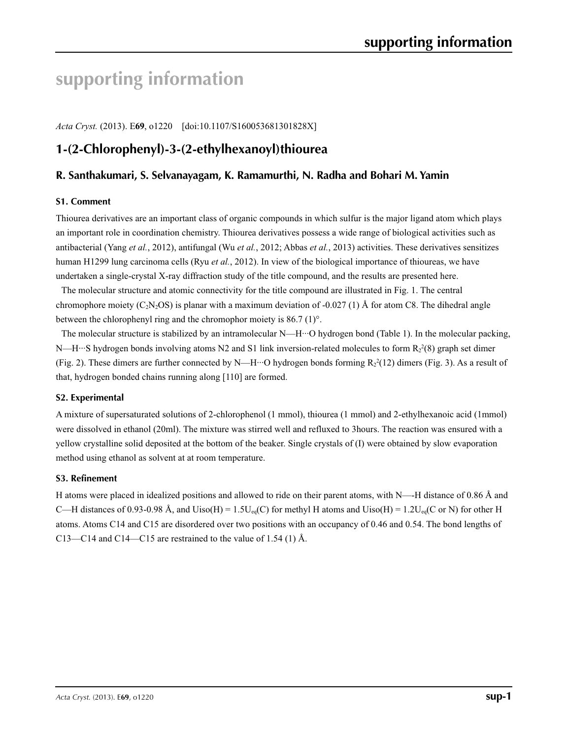# **supporting information**

*Acta Cryst.* (2013). E**69**, o1220 [doi:10.1107/S160053681301828X]

# **1-(2-Chlorophenyl)-3-(2-ethylhexanoyl)thiourea**

#### **R. Santhakumari, S. Selvanayagam, K. Ramamurthi, N. Radha and Bohari M. Yamin**

#### **S1. Comment**

Thiourea derivatives are an important class of organic compounds in which sulfur is the major ligand atom which plays an important role in coordination chemistry. Thiourea derivatives possess a wide range of biological activities such as antibacterial (Yang *et al.*, 2012), antifungal (Wu *et al.*, 2012; Abbas *et al.*, 2013) activities. These derivatives sensitizes human H1299 lung carcinoma cells (Ryu *et al.*, 2012). In view of the biological importance of thioureas, we have undertaken a single-crystal X-ray diffraction study of the title compound, and the results are presented here.

The molecular structure and atomic connectivity for the title compound are illustrated in Fig. 1. The central chromophore moiety (C<sub>2</sub>N<sub>2</sub>OS) is planar with a maximum deviation of -0.027 (1) Å for atom C8. The dihedral angle between the chlorophenyl ring and the chromophor moiety is 86.7 (1)°.

The molecular structure is stabilized by an intramolecular N—H···O hydrogen bond (Table 1). In the molecular packing, N—H…S hydrogen bonds involving atoms N2 and S1 link inversion-related molecules to form  $R_2^2(8)$  graph set dimer (Fig. 2). These dimers are further connected by N—H···O hydrogen bonds forming  $R_2^2(12)$  dimers (Fig. 3). As a result of that, hydrogen bonded chains running along [110] are formed.

#### **S2. Experimental**

A mixture of supersaturated solutions of 2-chlorophenol (1 mmol), thiourea (1 mmol) and 2-ethylhexanoic acid (1mmol) were dissolved in ethanol (20ml). The mixture was stirred well and refluxed to 3hours. The reaction was ensured with a yellow crystalline solid deposited at the bottom of the beaker. Single crystals of (I) were obtained by slow evaporation method using ethanol as solvent at at room temperature.

#### **S3. Refinement**

H atoms were placed in idealized positions and allowed to ride on their parent atoms, with N—-H distance of 0.86 Å and C—H distances of 0.93-0.98 Å, and Uiso(H) =  $1.5U_{eq}(C)$  for methyl H atoms and Uiso(H) =  $1.2U_{eq}(C \text{ or } N)$  for other H atoms. Atoms C14 and C15 are disordered over two positions with an occupancy of 0.46 and 0.54. The bond lengths of C13—C14 and C14—C15 are restrained to the value of 1.54 (1) Å.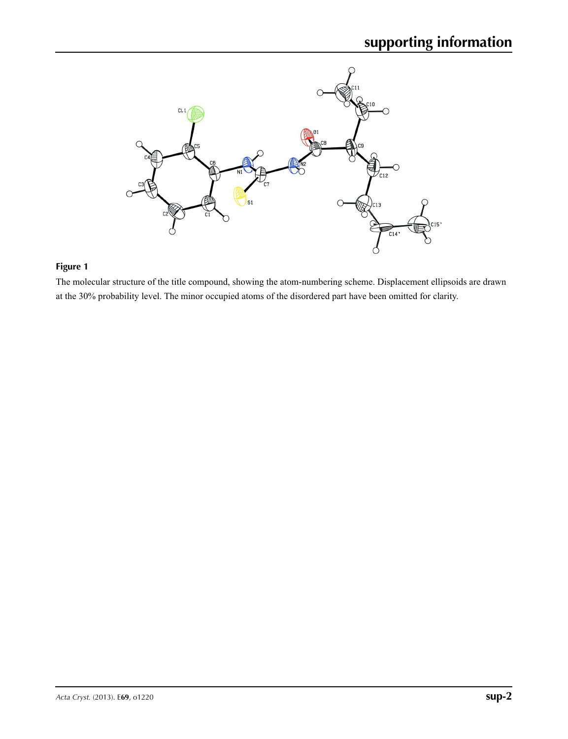

## **Figure 1**

The molecular structure of the title compound, showing the atom-numbering scheme. Displacement ellipsoids are drawn at the 30% probability level. The minor occupied atoms of the disordered part have been omitted for clarity.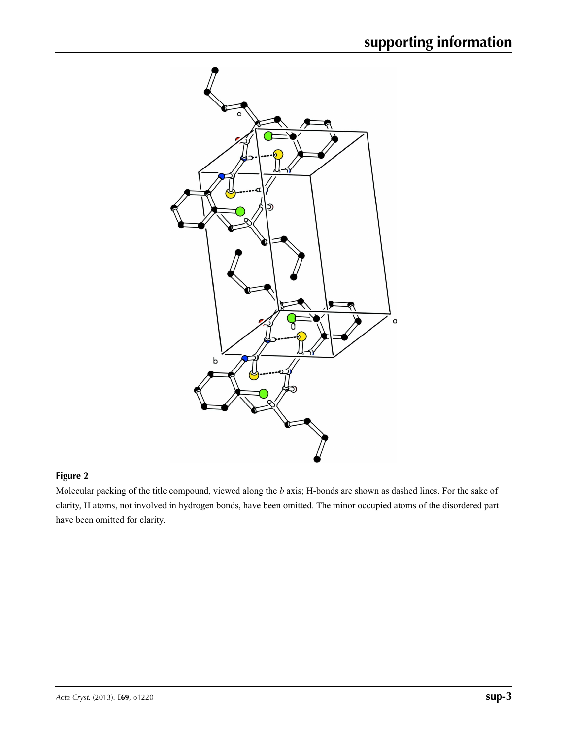

## **Figure 2**

Molecular packing of the title compound, viewed along the *b* axis; H-bonds are shown as dashed lines. For the sake of clarity, H atoms, not involved in hydrogen bonds, have been omitted. The minor occupied atoms of the disordered part have been omitted for clarity.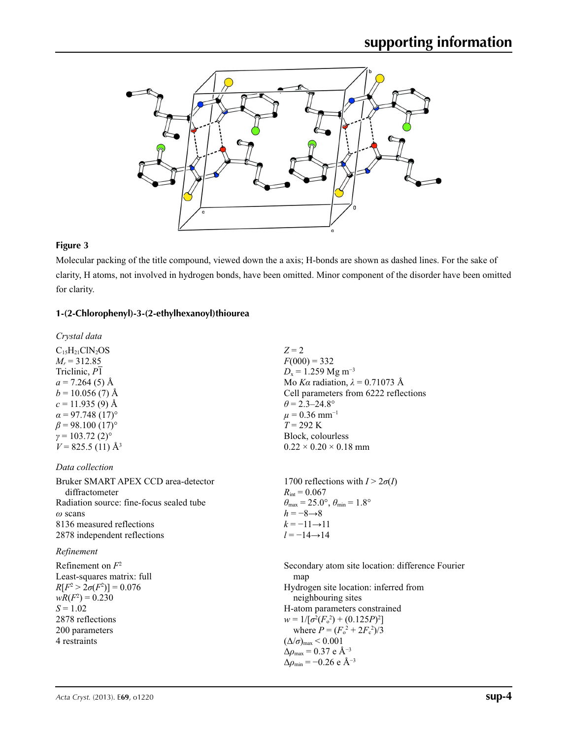

#### **Figure 3**

Molecular packing of the title compound, viewed down the a axis; H-bonds are shown as dashed lines. For the sake of clarity, H atoms, not involved in hydrogen bonds, have been omitted. Minor component of the disorder have been omitted for clarity.

#### **1-(2-Chlorophenyl)-3-(2-ethylhexanoyl)thiourea**

*Crystal data*  $C_{15}H_{21}CIN_2OS$  $M_r = 312.85$ Triclinic, *P*1  $a = 7.264(5)$  Å  $b = 10.056$  (7) Å  $c = 11.935(9)$  Å  $\alpha$  = 97.748 (17)<sup>o</sup>  $\beta$  = 98.100 (17)<sup>o</sup>  $\gamma = 103.72$  (2)<sup>o</sup>  $V = 825.5$  (11) Å<sup>3</sup>

#### *Data collection*

Bruker SMART APEX CCD area-detector diffractometer Radiation source: fine-focus sealed tube *ω* scans 8136 measured reflections 2878 independent reflections

#### *Refinement*

Refinement on *F*<sup>2</sup> Least-squares matrix: full *R*[ $F^2 > 2\sigma(F^2)$ ] = 0.076  $wR(F^2) = 0.230$  $S = 1.02$ 2878 reflections 200 parameters 4 restraints

 $Z = 2$  $F(000) = 332$  $D_x = 1.259$  Mg m<sup>-3</sup> Mo *Kα* radiation, *λ* = 0.71073 Å Cell parameters from 6222 reflections  $\theta$  = 2.3–24.8°  $\mu$  = 0.36 mm<sup>-1</sup> *T* = 292 K Block, colourless  $0.22 \times 0.20 \times 0.18$  mm

1700 reflections with  $I > 2\sigma(I)$  $R_{\text{int}} = 0.067$  $\theta_{\text{max}} = 25.0^{\circ}, \theta_{\text{min}} = 1.8^{\circ}$  $h = -8 \rightarrow 8$  $k = -11 \rightarrow 11$ *l* = −14→14

Secondary atom site location: difference Fourier map Hydrogen site location: inferred from neighbouring sites H-atom parameters constrained  $w = 1/[\sigma^2 (F_o^2) + (0.125P)^2]$ where  $P = (F_o^2 + 2F_c^2)/3$  $(\Delta/\sigma)_{\text{max}}$  < 0.001 Δ*ρ*max = 0.37 e Å−3  $\Delta \rho_{\rm min} = -0.26$  e Å<sup>-3</sup>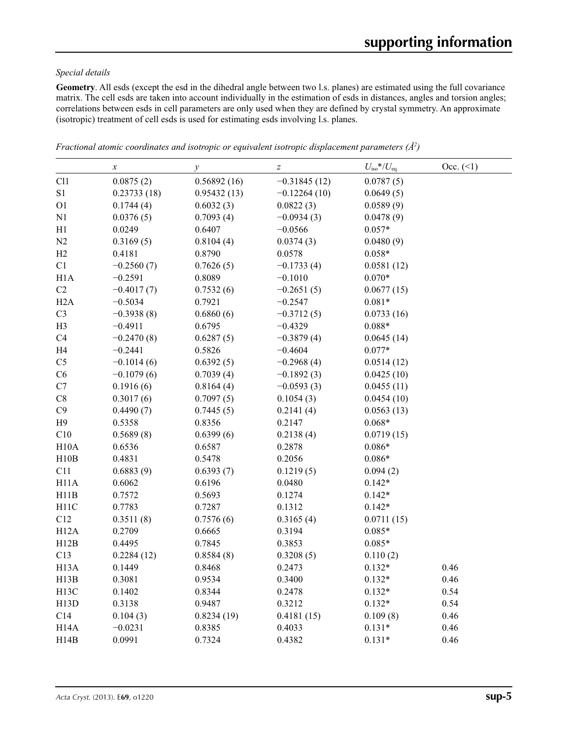#### *Special details*

**Geometry**. All esds (except the esd in the dihedral angle between two l.s. planes) are estimated using the full covariance matrix. The cell esds are taken into account individually in the estimation of esds in distances, angles and torsion angles; correlations between esds in cell parameters are only used when they are defined by crystal symmetry. An approximate (isotropic) treatment of cell esds is used for estimating esds involving l.s. planes.

|                   | $\boldsymbol{x}$ | $\mathcal{Y}$ | $\overline{z}$ | $U_{\rm iso}*/U_{\rm eq}$ | $Occ. ( \le 1)$ |
|-------------------|------------------|---------------|----------------|---------------------------|-----------------|
| Cl1               | 0.0875(2)        | 0.56892(16)   | $-0.31845(12)$ | 0.0787(5)                 |                 |
| S1                | 0.23733(18)      | 0.95432(13)   | $-0.12264(10)$ | 0.0649(5)                 |                 |
| O <sub>1</sub>    | 0.1744(4)        | 0.6032(3)     | 0.0822(3)      | 0.0589(9)                 |                 |
| N1                | 0.0376(5)        | 0.7093(4)     | $-0.0934(3)$   | 0.0478(9)                 |                 |
| H1                | 0.0249           | 0.6407        | $-0.0566$      | $0.057*$                  |                 |
| $\mathbf{N2}$     | 0.3169(5)        | 0.8104(4)     | 0.0374(3)      | 0.0480(9)                 |                 |
| H2                | 0.4181           | 0.8790        | 0.0578         | $0.058*$                  |                 |
| C1                | $-0.2560(7)$     | 0.7626(5)     | $-0.1733(4)$   | 0.0581(12)                |                 |
| H1A               | $-0.2591$        | 0.8089        | $-0.1010$      | $0.070*$                  |                 |
| C2                | $-0.4017(7)$     | 0.7532(6)     | $-0.2651(5)$   | 0.0677(15)                |                 |
| H2A               | $-0.5034$        | 0.7921        | $-0.2547$      | $0.081*$                  |                 |
| C <sub>3</sub>    | $-0.3938(8)$     | 0.6860(6)     | $-0.3712(5)$   | 0.0733(16)                |                 |
| H <sub>3</sub>    | $-0.4911$        | 0.6795        | $-0.4329$      | $0.088*$                  |                 |
| C4                | $-0.2470(8)$     | 0.6287(5)     | $-0.3879(4)$   | 0.0645(14)                |                 |
| H4                | $-0.2441$        | 0.5826        | $-0.4604$      | $0.077*$                  |                 |
| $\rm{C}5$         | $-0.1014(6)$     | 0.6392(5)     | $-0.2968(4)$   | 0.0514(12)                |                 |
| C6                | $-0.1079(6)$     | 0.7039(4)     | $-0.1892(3)$   | 0.0425(10)                |                 |
| C7                | 0.1916(6)        | 0.8164(4)     | $-0.0593(3)$   | 0.0455(11)                |                 |
| $\rm{C}8$         | 0.3017(6)        | 0.7097(5)     | 0.1054(3)      | 0.0454(10)                |                 |
| C9                | 0.4490(7)        | 0.7445(5)     | 0.2141(4)      | 0.0563(13)                |                 |
| H9                | 0.5358           | 0.8356        | 0.2147         | $0.068*$                  |                 |
| C10               | 0.5689(8)        | 0.6399(6)     | 0.2138(4)      | 0.0719(15)                |                 |
| H10A              | 0.6536           | 0.6587        | 0.2878         | $0.086*$                  |                 |
| H10B              | 0.4831           | 0.5478        | 0.2056         | $0.086*$                  |                 |
| C11               | 0.6883(9)        | 0.6393(7)     | 0.1219(5)      | 0.094(2)                  |                 |
| H11A              | 0.6062           | 0.6196        | 0.0480         | $0.142*$                  |                 |
| H11B              | 0.7572           | 0.5693        | 0.1274         | $0.142*$                  |                 |
| H11C              | 0.7783           | 0.7287        | 0.1312         | $0.142*$                  |                 |
| C12               | 0.3511(8)        | 0.7576(6)     | 0.3165(4)      | 0.0711(15)                |                 |
| H12A              | 0.2709           | 0.6665        | 0.3194         | $0.085*$                  |                 |
| H12B              | 0.4495           | 0.7845        | 0.3853         | $0.085*$                  |                 |
| C13               | 0.2284(12)       | 0.8584(8)     | 0.3208(5)      | 0.110(2)                  |                 |
| H <sub>13</sub> A | 0.1449           | 0.8468        | 0.2473         | $0.132*$                  | 0.46            |
| H13B              | 0.3081           | 0.9534        | 0.3400         | $0.132*$                  | 0.46            |
| H <sub>13</sub> C | 0.1402           | 0.8344        | 0.2478         | $0.132*$                  | 0.54            |
| H13D              | 0.3138           | 0.9487        | 0.3212         | $0.132*$                  | 0.54            |
| C14               | 0.104(3)         | 0.8234(19)    | 0.4181(15)     | 0.109(8)                  | 0.46            |
| H <sub>14</sub> A | $-0.0231$        | 0.8385        | 0.4033         | $0.131*$                  | 0.46            |
| H14B              | 0.0991           | 0.7324        | 0.4382         | $0.131*$                  | 0.46            |

*Fractional atomic coordinates and isotropic or equivalent isotropic displacement parameters (Å<sup>2</sup>)*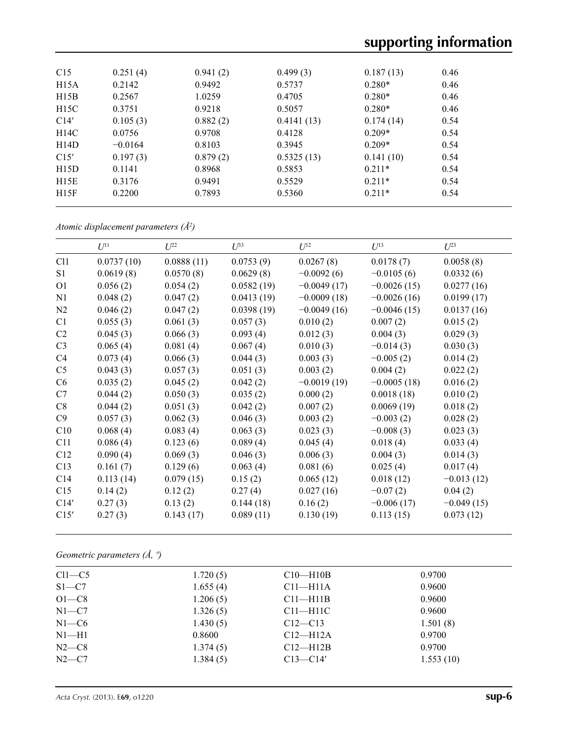| 0.251(4)  | 0.941(2) | 0.499(3)   | 0.187(13) | 0.46 |
|-----------|----------|------------|-----------|------|
| 0.2142    | 0.9492   | 0.5737     | $0.280*$  | 0.46 |
| 0.2567    | 1.0259   | 0.4705     | $0.280*$  | 0.46 |
| 0.3751    | 0.9218   | 0.5057     | $0.280*$  | 0.46 |
| 0.105(3)  | 0.882(2) | 0.4141(13) | 0.174(14) | 0.54 |
| 0.0756    | 0.9708   | 0.4128     | $0.209*$  | 0.54 |
| $-0.0164$ | 0.8103   | 0.3945     | $0.209*$  | 0.54 |
| 0.197(3)  | 0.879(2) | 0.5325(13) | 0.141(10) | 0.54 |
| 0.1141    | 0.8968   | 0.5853     | $0.211*$  | 0.54 |
| 0.3176    | 0.9491   | 0.5529     | $0.211*$  | 0.54 |
| 0.2200    | 0.7893   | 0.5360     | $0.211*$  | 0.54 |
|           |          |            |           |      |

*Atomic displacement parameters (Å2 )*

|                | $U^{11}$   | $U^{22}$   | $U^{33}$   | $U^{12}$      | $U^{13}$      | $U^{23}$     |
|----------------|------------|------------|------------|---------------|---------------|--------------|
| C11            | 0.0737(10) | 0.0888(11) | 0.0753(9)  | 0.0267(8)     | 0.0178(7)     | 0.0058(8)    |
| S <sub>1</sub> | 0.0619(8)  | 0.0570(8)  | 0.0629(8)  | $-0.0092(6)$  | $-0.0105(6)$  | 0.0332(6)    |
| O <sub>1</sub> | 0.056(2)   | 0.054(2)   | 0.0582(19) | $-0.0049(17)$ | $-0.0026(15)$ | 0.0277(16)   |
| N1             | 0.048(2)   | 0.047(2)   | 0.0413(19) | $-0.0009(18)$ | $-0.0026(16)$ | 0.0199(17)   |
| N <sub>2</sub> | 0.046(2)   | 0.047(2)   | 0.0398(19) | $-0.0049(16)$ | $-0.0046(15)$ | 0.0137(16)   |
| C1             | 0.055(3)   | 0.061(3)   | 0.057(3)   | 0.010(2)      | 0.007(2)      | 0.015(2)     |
| C2             | 0.045(3)   | 0.066(3)   | 0.093(4)   | 0.012(3)      | 0.004(3)      | 0.029(3)     |
| C <sub>3</sub> | 0.065(4)   | 0.081(4)   | 0.067(4)   | 0.010(3)      | $-0.014(3)$   | 0.030(3)     |
| C4             | 0.073(4)   | 0.066(3)   | 0.044(3)   | 0.003(3)      | $-0.005(2)$   | 0.014(2)     |
| C <sub>5</sub> | 0.043(3)   | 0.057(3)   | 0.051(3)   | 0.003(2)      | 0.004(2)      | 0.022(2)     |
| C6             | 0.035(2)   | 0.045(2)   | 0.042(2)   | $-0.0019(19)$ | $-0.0005(18)$ | 0.016(2)     |
| C7             | 0.044(2)   | 0.050(3)   | 0.035(2)   | 0.000(2)      | 0.0018(18)    | 0.010(2)     |
| C8             | 0.044(2)   | 0.051(3)   | 0.042(2)   | 0.007(2)      | 0.0069(19)    | 0.018(2)     |
| C9             | 0.057(3)   | 0.062(3)   | 0.046(3)   | 0.003(2)      | $-0.003(2)$   | 0.028(2)     |
| C10            | 0.068(4)   | 0.083(4)   | 0.063(3)   | 0.023(3)      | $-0.008(3)$   | 0.023(3)     |
| C11            | 0.086(4)   | 0.123(6)   | 0.089(4)   | 0.045(4)      | 0.018(4)      | 0.033(4)     |
| C12            | 0.090(4)   | 0.069(3)   | 0.046(3)   | 0.006(3)      | 0.004(3)      | 0.014(3)     |
| C13            | 0.161(7)   | 0.129(6)   | 0.063(4)   | 0.081(6)      | 0.025(4)      | 0.017(4)     |
| C14            | 0.113(14)  | 0.079(15)  | 0.15(2)    | 0.065(12)     | 0.018(12)     | $-0.013(12)$ |
| C15            | 0.14(2)    | 0.12(2)    | 0.27(4)    | 0.027(16)     | $-0.07(2)$    | 0.04(2)      |
| C14'           | 0.27(3)    | 0.13(2)    | 0.144(18)  | 0.16(2)       | $-0.006(17)$  | $-0.049(15)$ |
| C15'           | 0.27(3)    | 0.143(17)  | 0.089(11)  | 0.130(19)     | 0.113(15)     | 0.073(12)    |

*Geometric parameters (Å, º)*

| $Cl1-C5$  | 1.720(5) | $C10-H10B$   | 0.9700    |  |
|-----------|----------|--------------|-----------|--|
| $S1 - C7$ | 1.655(4) | $C11 - H11A$ | 0.9600    |  |
| $O1-C8$   | 1.206(5) | $C11 - H11B$ | 0.9600    |  |
| $N1 - C7$ | 1.326(5) | $C11-H11C$   | 0.9600    |  |
| $N1-C6$   | 1.430(5) | $C12 - C13$  | 1.501(8)  |  |
| $N1-H1$   | 0.8600   | $C12-H12A$   | 0.9700    |  |
| $N2-C8$   | 1.374(5) | $C12$ —H12B  | 0.9700    |  |
| $N2-C7$   | 1.384(5) | $C13 - C14'$ | 1.553(10) |  |
|           |          |              |           |  |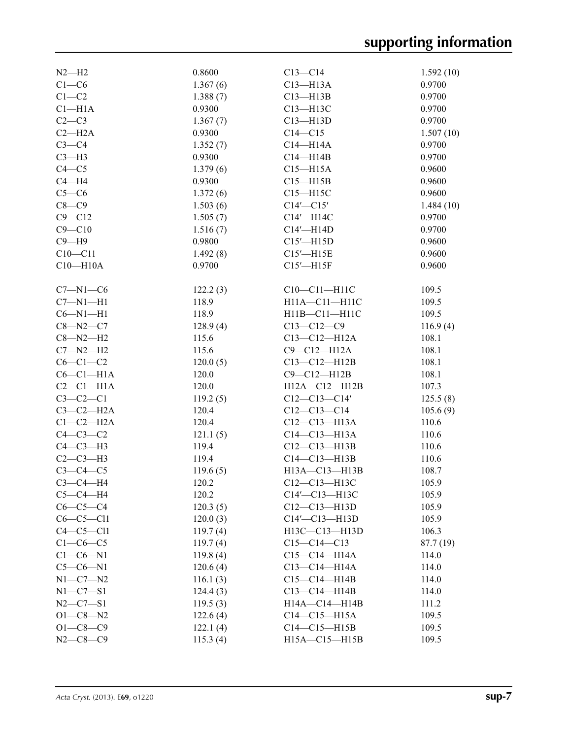| $N2-H2$        | 0.8600   | $C13 - C14$                     | 1.592(10) |
|----------------|----------|---------------------------------|-----------|
| $C1-C6$        | 1.367(6) | $C13 - H13A$                    | 0.9700    |
| $C1-C2$        | 1.388(7) | $C13 - H13B$                    | 0.9700    |
| $Cl-H1A$       | 0.9300   | C13-H13C                        | 0.9700    |
| $C2-C3$        | 1.367(7) | $C13 - H13D$                    | 0.9700    |
| $C2-H2A$       | 0.9300   | $C14 - C15$                     | 1.507(10) |
| $C3-C4$        | 1.352(7) | $C14 - H14A$                    | 0.9700    |
| $C3-H3$        | 0.9300   | $C14 - H14B$                    | 0.9700    |
| $C4 - C5$      | 1.379(6) | $C15 - H15A$                    | 0.9600    |
| $C4 - H4$      | 0.9300   | $C15 - H15B$                    | 0.9600    |
| $C5-C6$        | 1.372(6) | $C15 - H15C$                    | 0.9600    |
| $C8-C9$        | 1.503(6) | $C14'$ - $C15'$                 | 1.484(10) |
| $C9 - C12$     | 1.505(7) | C14'-H14C                       | 0.9700    |
| $C9 - C10$     | 1.516(7) | $C14'$ —H14D                    | 0.9700    |
| $C9 - H9$      | 0.9800   | $C15'$ -H15D                    | 0.9600    |
| $C10 - C11$    | 1.492(8) | $C15'$ -H15E                    | 0.9600    |
| $C10 - H10A$   | 0.9700   | $C15'$ -H15F                    | 0.9600    |
|                |          |                                 |           |
| $C7 - N1 - C6$ | 122.2(3) | $C10-C11-H11C$                  | 109.5     |
| $C7 - N1 - H1$ | 118.9    | H11A-C11-H11C                   | 109.5     |
| $C6 - N1 - H1$ | 118.9    | H11B-C11-H11C                   | 109.5     |
| $C8 - N2 - C7$ | 128.9(4) | $C13 - C12 - C9$                | 116.9(4)  |
| $C8 - N2 - H2$ | 115.6    | $C13 - C12 - H12A$              | 108.1     |
| $C7 - N2 - H2$ | 115.6    | $C9-C12-H12A$                   | 108.1     |
| $C6-C1-C2$     | 120.0(5) | $C13 - C12 - H12B$              | 108.1     |
| $C6-C1-H1A$    | 120.0    | $C9-C12-H12B$                   | 108.1     |
| $C2-C1-H1A$    | 120.0    | H12A-C12-H12B                   | 107.3     |
| $C3-C2-C1$     | 119.2(5) | $C12-C13-C14'$                  | 125.5(8)  |
| $C3-C2-H2A$    | 120.4    | $C12-C13-C14$                   | 105.6(9)  |
| $C1-C2-H2A$    | 120.4    | $C12 - C13 - H13A$              | 110.6     |
| $C4-C3-C2$     | 121.1(5) | $C14 - C13 - H13A$              | 110.6     |
| $C4-C3-H3$     | 119.4    | $C12 - C13 - H13B$              | 110.6     |
| $C2-C3-H3$     | 119.4    | $C14-C13-H13B$                  | 110.6     |
| $C3-C4-C5$     | 119.6(5) | H13A-C13-H13B                   | 108.7     |
| $C3-C4-H4$     | 120.2    | $C12 - C13 - H13C$              | 105.9     |
| $C5-C4-H4$     | 120.2    | C14'-C13-H13C                   | 105.9     |
| $C6-C5-C4$     | 120.3(5) | $C12 - C13 - H13D$              | 105.9     |
| $C6-C5-C11$    |          | $C14' - C13 - H13D$             | 105.9     |
| $C4-C5-C11$    | 120.0(3) | H13C-C13-H13D                   | 106.3     |
|                | 119.7(4) |                                 |           |
| $C1-C6-C5$     | 119.7(4) | $C15-C14-C13$<br>$C15-C14-H14A$ | 87.7 (19) |
| $C1-C6-N1$     | 119.8(4) |                                 | 114.0     |
| $C5-C6-N1$     | 120.6(4) | $C13-C14-H14A$                  | 114.0     |
| $N1 - C7 - N2$ | 116.1(3) | $C15-C14-H14B$                  | 114.0     |
| $N1 - C7 - S1$ | 124.4(3) | $C13-C14-H14B$                  | 114.0     |
| $N2 - C7 - S1$ | 119.5(3) | H14A-C14-H14B                   | 111.2     |
| $O1 - C8 - N2$ | 122.6(4) | $C14-C15-H15A$                  | 109.5     |
| $O1 - C8 - C9$ | 122.1(4) | $C14-C15-H15B$                  | 109.5     |
| $N2 - C8 - C9$ | 115.3(4) | H15A-C15-H15B                   | 109.5     |